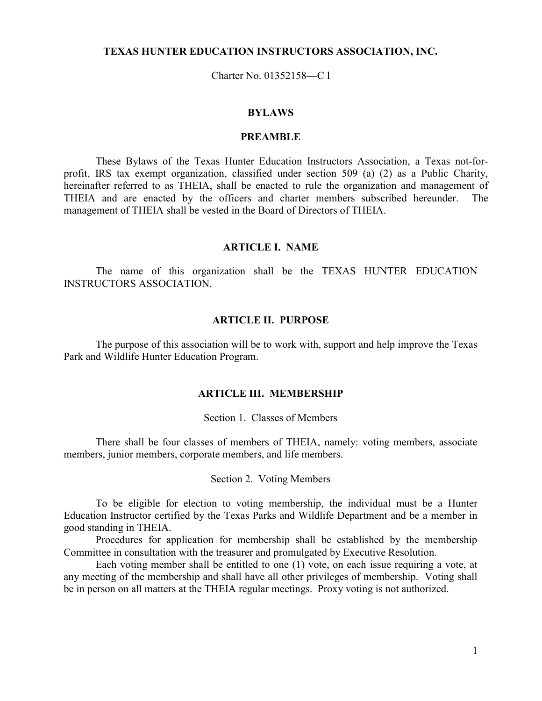### TEXAS HUNTER EDUCATION INSTRUCTORS ASSOCIATION, INC.

Charter No. 01352158—C l

### BYLAWS

## PREAMBLE

These Bylaws of the Texas Hunter Education Instructors Association, a Texas not-forprofit, IRS tax exempt organization, classified under section 509 (a) (2) as a Public Charity, hereinafter referred to as THEIA, shall be enacted to rule the organization and management of THEIA and are enacted by the officers and charter members subscribed hereunder. The management of THEIA shall be vested in the Board of Directors of THEIA.

#### ARTICLE I. NAME

 The name of this organization shall be the TEXAS HUNTER EDUCATION INSTRUCTORS ASSOCIATION.

#### ARTICLE II. PURPOSE

 The purpose of this association will be to work with, support and help improve the Texas Park and Wildlife Hunter Education Program.

### ARTICLE III. MEMBERSHIP

#### Section 1. Classes of Members

 There shall be four classes of members of THEIA, namely: voting members, associate members, junior members, corporate members, and life members.

Section 2. Voting Members

 To be eligible for election to voting membership, the individual must be a Hunter Education Instructor certified by the Texas Parks and Wildlife Department and be a member in good standing in THEIA.

 Procedures for application for membership shall be established by the membership Committee in consultation with the treasurer and promulgated by Executive Resolution.

 Each voting member shall be entitled to one (1) vote, on each issue requiring a vote, at any meeting of the membership and shall have all other privileges of membership. Voting shall be in person on all matters at the THEIA regular meetings. Proxy voting is not authorized.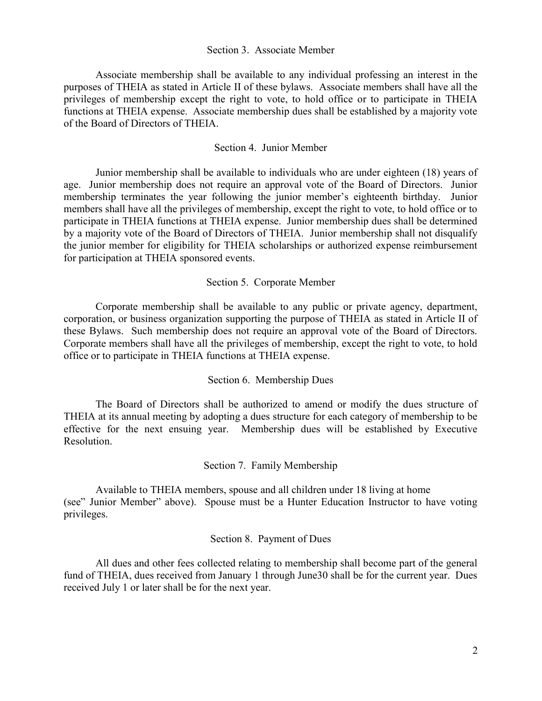### Section 3. Associate Member

 Associate membership shall be available to any individual professing an interest in the purposes of THEIA as stated in Article II of these bylaws. Associate members shall have all the privileges of membership except the right to vote, to hold office or to participate in THEIA functions at THEIA expense. Associate membership dues shall be established by a majority vote of the Board of Directors of THEIA.

### Section 4. Junior Member

 Junior membership shall be available to individuals who are under eighteen (18) years of age. Junior membership does not require an approval vote of the Board of Directors. Junior membership terminates the year following the junior member's eighteenth birthday. Junior members shall have all the privileges of membership, except the right to vote, to hold office or to participate in THEIA functions at THEIA expense. Junior membership dues shall be determined by a majority vote of the Board of Directors of THEIA. Junior membership shall not disqualify the junior member for eligibility for THEIA scholarships or authorized expense reimbursement for participation at THEIA sponsored events.

### Section 5. Corporate Member

 Corporate membership shall be available to any public or private agency, department, corporation, or business organization supporting the purpose of THEIA as stated in Article II of these Bylaws. Such membership does not require an approval vote of the Board of Directors. Corporate members shall have all the privileges of membership, except the right to vote, to hold office or to participate in THEIA functions at THEIA expense.

### Section 6. Membership Dues

 The Board of Directors shall be authorized to amend or modify the dues structure of THEIA at its annual meeting by adopting a dues structure for each category of membership to be effective for the next ensuing year. Membership dues will be established by Executive Resolution.

Section 7. Family Membership

 Available to THEIA members, spouse and all children under 18 living at home (see" Junior Member" above). Spouse must be a Hunter Education Instructor to have voting privileges.

### Section 8. Payment of Dues

 All dues and other fees collected relating to membership shall become part of the general fund of THEIA, dues received from January 1 through June30 shall be for the current year. Dues received July 1 or later shall be for the next year.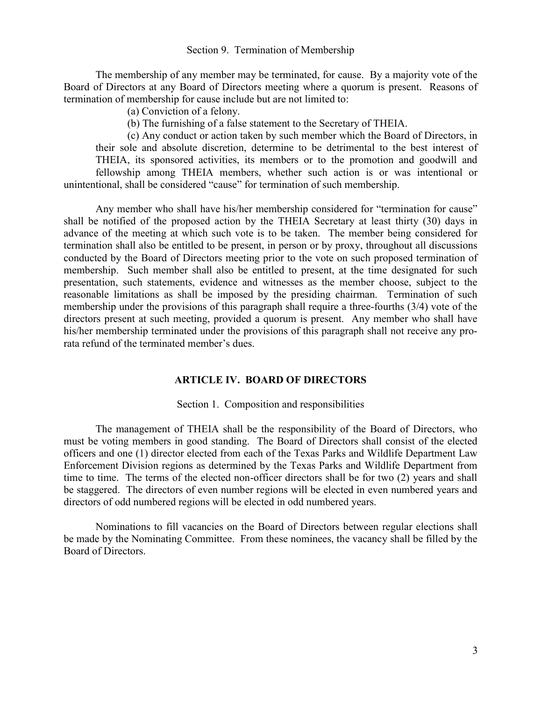#### Section 9. Termination of Membership

 The membership of any member may be terminated, for cause. By a majority vote of the Board of Directors at any Board of Directors meeting where a quorum is present. Reasons of termination of membership for cause include but are not limited to:

(a) Conviction of a felony.

(b) The furnishing of a false statement to the Secretary of THEIA.

 (c) Any conduct or action taken by such member which the Board of Directors, in their sole and absolute discretion, determine to be detrimental to the best interest of THEIA, its sponsored activities, its members or to the promotion and goodwill and fellowship among THEIA members, whether such action is or was intentional or

unintentional, shall be considered "cause" for termination of such membership.

 Any member who shall have his/her membership considered for "termination for cause" shall be notified of the proposed action by the THEIA Secretary at least thirty (30) days in advance of the meeting at which such vote is to be taken. The member being considered for termination shall also be entitled to be present, in person or by proxy, throughout all discussions conducted by the Board of Directors meeting prior to the vote on such proposed termination of membership. Such member shall also be entitled to present, at the time designated for such presentation, such statements, evidence and witnesses as the member choose, subject to the reasonable limitations as shall be imposed by the presiding chairman. Termination of such membership under the provisions of this paragraph shall require a three-fourths (3/4) vote of the directors present at such meeting, provided a quorum is present. Any member who shall have his/her membership terminated under the provisions of this paragraph shall not receive any prorata refund of the terminated member's dues.

### ARTICLE IV. BOARD OF DIRECTORS

#### Section 1. Composition and responsibilities

 The management of THEIA shall be the responsibility of the Board of Directors, who must be voting members in good standing. The Board of Directors shall consist of the elected officers and one (1) director elected from each of the Texas Parks and Wildlife Department Law Enforcement Division regions as determined by the Texas Parks and Wildlife Department from time to time. The terms of the elected non-officer directors shall be for two (2) years and shall be staggered. The directors of even number regions will be elected in even numbered years and directors of odd numbered regions will be elected in odd numbered years.

 Nominations to fill vacancies on the Board of Directors between regular elections shall be made by the Nominating Committee. From these nominees, the vacancy shall be filled by the Board of Directors.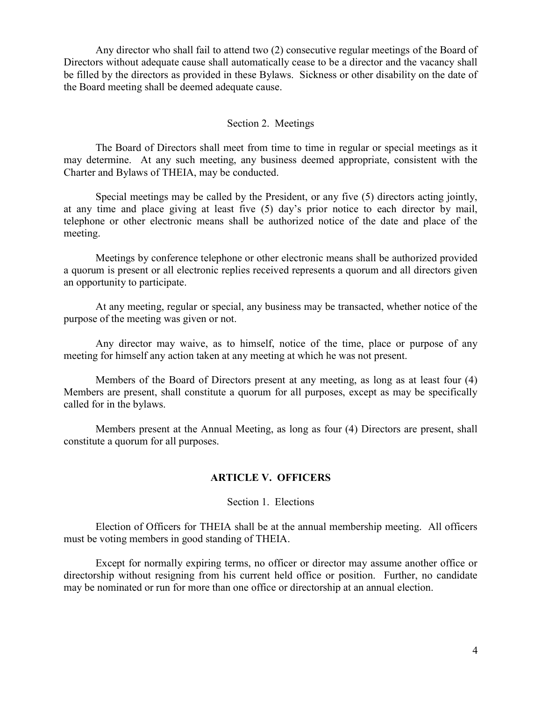Any director who shall fail to attend two (2) consecutive regular meetings of the Board of Directors without adequate cause shall automatically cease to be a director and the vacancy shall be filled by the directors as provided in these Bylaws. Sickness or other disability on the date of the Board meeting shall be deemed adequate cause.

# Section 2. Meetings

 The Board of Directors shall meet from time to time in regular or special meetings as it may determine. At any such meeting, any business deemed appropriate, consistent with the Charter and Bylaws of THEIA, may be conducted.

 Special meetings may be called by the President, or any five (5) directors acting jointly, at any time and place giving at least five (5) day's prior notice to each director by mail, telephone or other electronic means shall be authorized notice of the date and place of the meeting.

 Meetings by conference telephone or other electronic means shall be authorized provided a quorum is present or all electronic replies received represents a quorum and all directors given an opportunity to participate.

 At any meeting, regular or special, any business may be transacted, whether notice of the purpose of the meeting was given or not.

 Any director may waive, as to himself, notice of the time, place or purpose of any meeting for himself any action taken at any meeting at which he was not present.

 Members of the Board of Directors present at any meeting, as long as at least four (4) Members are present, shall constitute a quorum for all purposes, except as may be specifically called for in the bylaws.

 Members present at the Annual Meeting, as long as four (4) Directors are present, shall constitute a quorum for all purposes.

## ARTICLE V. OFFICERS

## Section 1. Elections

 Election of Officers for THEIA shall be at the annual membership meeting. All officers must be voting members in good standing of THEIA.

 Except for normally expiring terms, no officer or director may assume another office or directorship without resigning from his current held office or position. Further, no candidate may be nominated or run for more than one office or directorship at an annual election.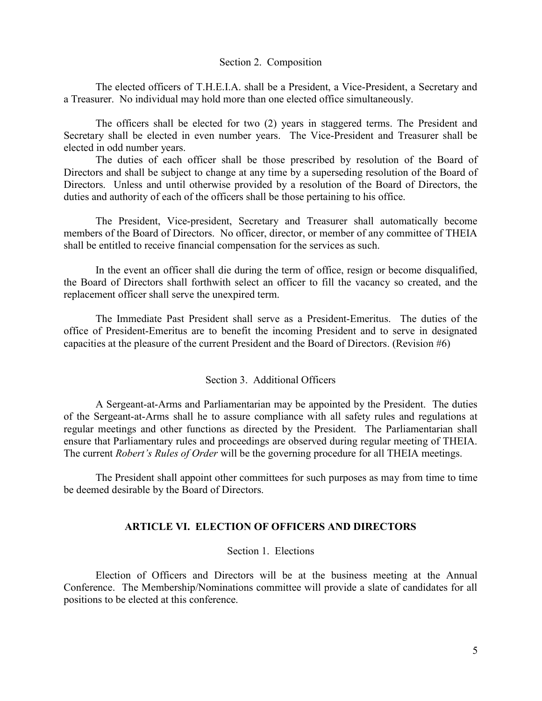#### Section 2. Composition

 The elected officers of T.H.E.I.A. shall be a President, a Vice-President, a Secretary and a Treasurer. No individual may hold more than one elected office simultaneously.

 The officers shall be elected for two (2) years in staggered terms. The President and Secretary shall be elected in even number years. The Vice-President and Treasurer shall be elected in odd number years.

 The duties of each officer shall be those prescribed by resolution of the Board of Directors and shall be subject to change at any time by a superseding resolution of the Board of Directors. Unless and until otherwise provided by a resolution of the Board of Directors, the duties and authority of each of the officers shall be those pertaining to his office.

 The President, Vice-president, Secretary and Treasurer shall automatically become members of the Board of Directors. No officer, director, or member of any committee of THEIA shall be entitled to receive financial compensation for the services as such.

 In the event an officer shall die during the term of office, resign or become disqualified, the Board of Directors shall forthwith select an officer to fill the vacancy so created, and the replacement officer shall serve the unexpired term.

 The Immediate Past President shall serve as a President-Emeritus. The duties of the office of President-Emeritus are to benefit the incoming President and to serve in designated capacities at the pleasure of the current President and the Board of Directors. (Revision #6)

## Section 3. Additional Officers

 A Sergeant-at-Arms and Parliamentarian may be appointed by the President. The duties of the Sergeant-at-Arms shall he to assure compliance with all safety rules and regulations at regular meetings and other functions as directed by the President. The Parliamentarian shall ensure that Parliamentary rules and proceedings are observed during regular meeting of THEIA. The current *Robert's Rules of Order* will be the governing procedure for all THEIA meetings.

 The President shall appoint other committees for such purposes as may from time to time be deemed desirable by the Board of Directors.

### ARTICLE VI. ELECTION OF OFFICERS AND DIRECTORS

### Section 1. Elections

 Election of Officers and Directors will be at the business meeting at the Annual Conference. The Membership/Nominations committee will provide a slate of candidates for all positions to be elected at this conference.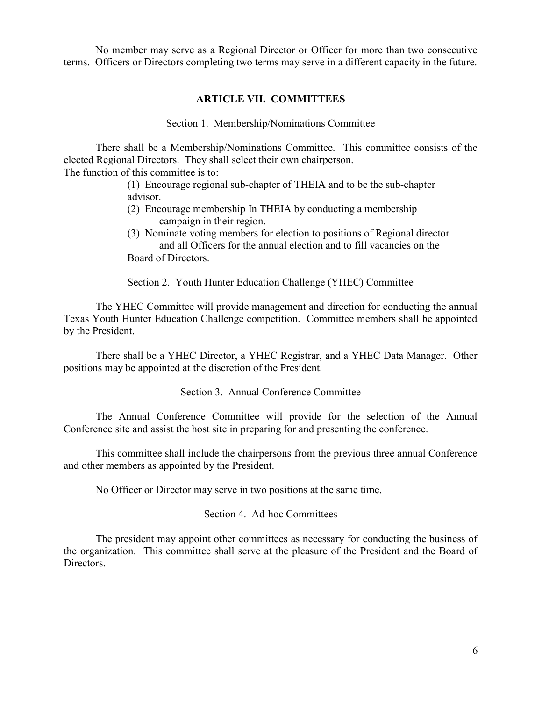No member may serve as a Regional Director or Officer for more than two consecutive terms. Officers or Directors completing two terms may serve in a different capacity in the future.

# ARTICLE VII. COMMITTEES

Section 1. Membership/Nominations Committee

 There shall be a Membership/Nominations Committee. This committee consists of the elected Regional Directors. They shall select their own chairperson. The function of this committee is to:

> (1) Encourage regional sub-chapter of THEIA and to be the sub-chapter advisor.

- (2) Encourage membership In THEIA by conducting a membership campaign in their region.
- (3) Nominate voting members for election to positions of Regional director and all Officers for the annual election and to fill vacancies on the Board of Directors.

Section 2. Youth Hunter Education Challenge (YHEC) Committee

 The YHEC Committee will provide management and direction for conducting the annual Texas Youth Hunter Education Challenge competition. Committee members shall be appointed by the President.

 There shall be a YHEC Director, a YHEC Registrar, and a YHEC Data Manager. Other positions may be appointed at the discretion of the President.

Section 3. Annual Conference Committee

 The Annual Conference Committee will provide for the selection of the Annual Conference site and assist the host site in preparing for and presenting the conference.

 This committee shall include the chairpersons from the previous three annual Conference and other members as appointed by the President.

No Officer or Director may serve in two positions at the same time.

Section 4. Ad-hoc Committees

 The president may appoint other committees as necessary for conducting the business of the organization. This committee shall serve at the pleasure of the President and the Board of Directors.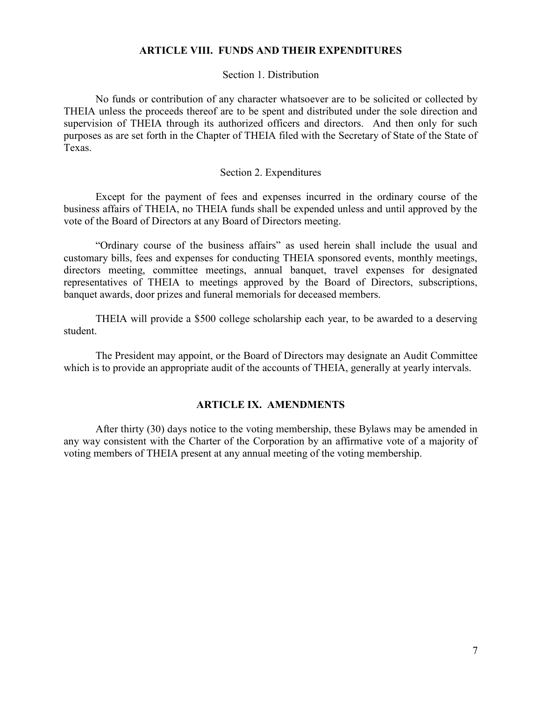# ARTICLE VIII. FUNDS AND THEIR EXPENDITURES

## Section 1. Distribution

 No funds or contribution of any character whatsoever are to be solicited or collected by THEIA unless the proceeds thereof are to be spent and distributed under the sole direction and supervision of THEIA through its authorized officers and directors. And then only for such purposes as are set forth in the Chapter of THEIA filed with the Secretary of State of the State of Texas.

### Section 2. Expenditures

 Except for the payment of fees and expenses incurred in the ordinary course of the business affairs of THEIA, no THEIA funds shall be expended unless and until approved by the vote of the Board of Directors at any Board of Directors meeting.

 "Ordinary course of the business affairs" as used herein shall include the usual and customary bills, fees and expenses for conducting THEIA sponsored events, monthly meetings, directors meeting, committee meetings, annual banquet, travel expenses for designated representatives of THEIA to meetings approved by the Board of Directors, subscriptions, banquet awards, door prizes and funeral memorials for deceased members.

 THEIA will provide a \$500 college scholarship each year, to be awarded to a deserving student.

 The President may appoint, or the Board of Directors may designate an Audit Committee which is to provide an appropriate audit of the accounts of THEIA, generally at yearly intervals.

# ARTICLE IX. AMENDMENTS

 After thirty (30) days notice to the voting membership, these Bylaws may be amended in any way consistent with the Charter of the Corporation by an affirmative vote of a majority of voting members of THEIA present at any annual meeting of the voting membership.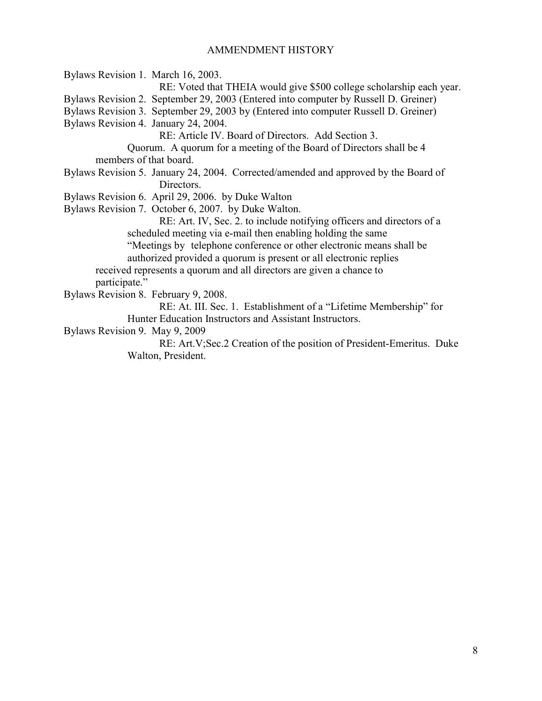### AMMENDMENT HISTORY

Bylaws Revision 1. March 16, 2003. RE: Voted that THEIA would give \$500 college scholarship each year. Bylaws Revision 2. September 29, 2003 (Entered into computer by Russell D. Greiner) Bylaws Revision 3. September 29, 2003 by (Entered into computer Russell D. Greiner) Bylaws Revision 4. January 24, 2004. RE: Article IV. Board of Directors. Add Section 3. Quorum. A quorum for a meeting of the Board of Directors shall be 4 members of that board. Bylaws Revision 5. January 24, 2004. Corrected/amended and approved by the Board of Directors. Bylaws Revision 6. April 29, 2006. by Duke Walton Bylaws Revision 7. October 6, 2007. by Duke Walton. RE: Art. IV, Sec. 2. to include notifying officers and directors of a scheduled meeting via e-mail then enabling holding the same "Meetings by telephone conference or other electronic means shall be authorized provided a quorum is present or all electronic replies received represents a quorum and all directors are given a chance to participate." Bylaws Revision 8. February 9, 2008. RE: At. III. Sec. 1. Establishment of a "Lifetime Membership" for Hunter Education Instructors and Assistant Instructors. Bylaws Revision 9. May 9, 2009 RE: Art.V;Sec.2 Creation of the position of President-Emeritus. Duke Walton, President.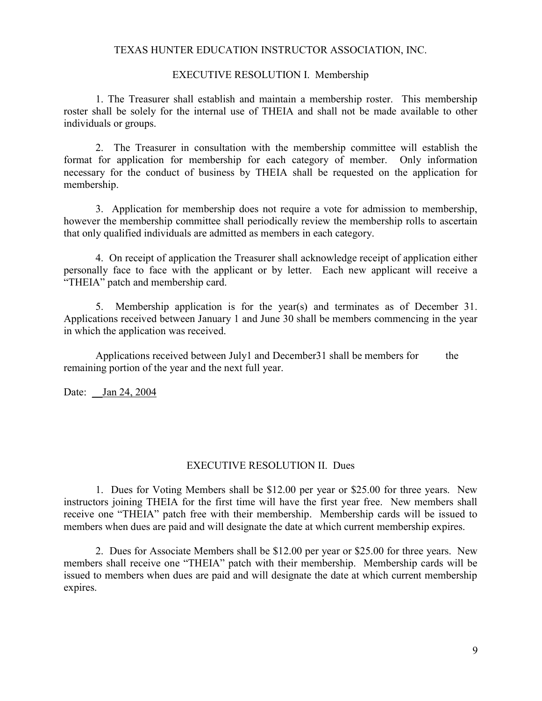## TEXAS HUNTER EDUCATION INSTRUCTOR ASSOCIATION, INC.

### EXECUTIVE RESOLUTION I. Membership

 1. The Treasurer shall establish and maintain a membership roster. This membership roster shall be solely for the internal use of THEIA and shall not be made available to other individuals or groups.

 2. The Treasurer in consultation with the membership committee will establish the format for application for membership for each category of member. Only information necessary for the conduct of business by THEIA shall be requested on the application for membership.

 3. Application for membership does not require a vote for admission to membership, however the membership committee shall periodically review the membership rolls to ascertain that only qualified individuals are admitted as members in each category.

 4. On receipt of application the Treasurer shall acknowledge receipt of application either personally face to face with the applicant or by letter. Each new applicant will receive a "THEIA" patch and membership card.

 5. Membership application is for the year(s) and terminates as of December 31. Applications received between January 1 and June 30 shall be members commencing in the year in which the application was received.

Applications received between July1 and December 31 shall be members for the remaining portion of the year and the next full year.

Date: <u>Jan 24, 2004</u>

# EXECUTIVE RESOLUTION II. Dues

 1. Dues for Voting Members shall be \$12.00 per year or \$25.00 for three years. New instructors joining THEIA for the first time will have the first year free. New members shall receive one "THEIA" patch free with their membership. Membership cards will be issued to members when dues are paid and will designate the date at which current membership expires.

 2. Dues for Associate Members shall be \$12.00 per year or \$25.00 for three years. New members shall receive one "THEIA" patch with their membership. Membership cards will be issued to members when dues are paid and will designate the date at which current membership expires.